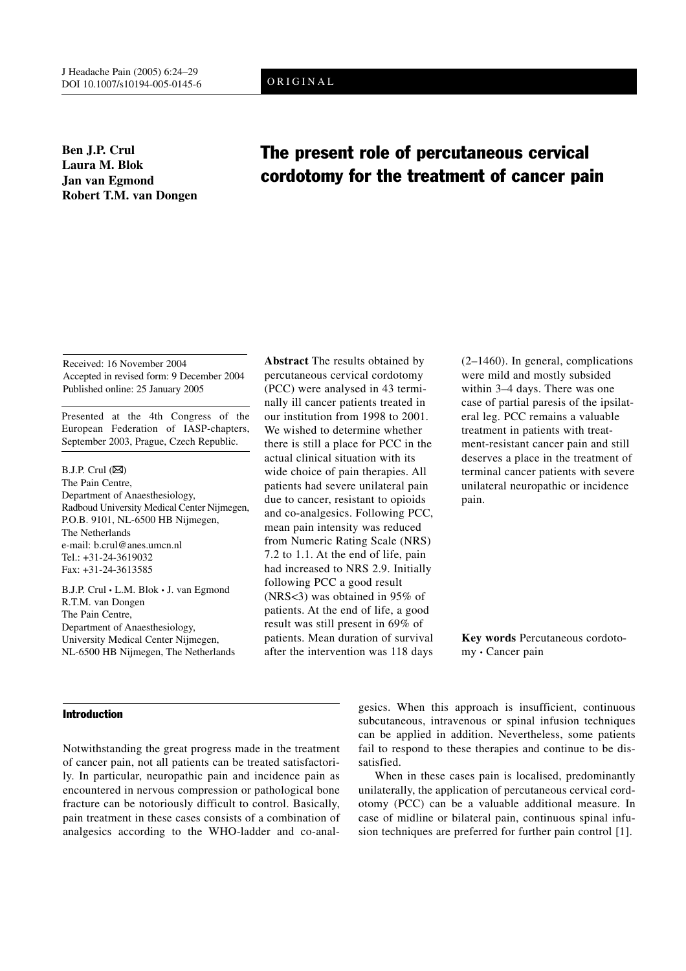# ORIGINAL

**Ben J.P. Crul Laura M. Blok Jan van Egmond Robert T.M. van Dongen**

# The present role of percutaneous cervical cordotomy for the treatment of cancer pain

Received: 16 November 2004 Accepted in revised form: 9 December 2004 Published online: 25 January 2005

Presented at the 4th Congress of the European Federation of IASP-chapters, September 2003, Prague, Czech Republic.

 $B.J.P.$  Crul  $(\boxtimes)$ The Pain Centre, Department of Anaesthesiology, Radboud University Medical Center Nijmegen, P.O.B. 9101, NL-6500 HB Nijmegen, The Netherlands e-mail: b.crul@anes.umcn.nl Tel.: +31-24-3619032 Fax: +31-24-3613585

B.J.P. Crul • L.M. Blok • J. van Egmond R.T.M. van Dongen The Pain Centre, Department of Anaesthesiology, University Medical Center Nijmegen, NL-6500 HB Nijmegen, The Netherlands

## Introduction

Notwithstanding the great progress made in the treatment of cancer pain, not all patients can be treated satisfactorily. In particular, neuropathic pain and incidence pain as encountered in nervous compression or pathological bone fracture can be notoriously difficult to control. Basically, pain treatment in these cases consists of a combination of analgesics according to the WHO-ladder and co-anal-

**Abstract** The results obtained by percutaneous cervical cordotomy (PCC) were analysed in 43 terminally ill cancer patients treated in our institution from 1998 to 2001. We wished to determine whether there is still a place for PCC in the actual clinical situation with its wide choice of pain therapies. All patients had severe unilateral pain due to cancer, resistant to opioids and co-analgesics. Following PCC, mean pain intensity was reduced from Numeric Rating Scale (NRS) 7.2 to 1.1. At the end of life, pain had increased to NRS 2.9. Initially following PCC a good result (NRS<3) was obtained in 95% of patients. At the end of life, a good result was still present in 69% of patients. Mean duration of survival after the intervention was 118 days

(2–1460). In general, complications were mild and mostly subsided within 3–4 days. There was one case of partial paresis of the ipsilateral leg. PCC remains a valuable treatment in patients with treatment-resistant cancer pain and still deserves a place in the treatment of terminal cancer patients with severe unilateral neuropathic or incidence pain.

**Key words** Percutaneous cordotomy • Cancer pain

gesics. When this approach is insufficient, continuous subcutaneous, intravenous or spinal infusion techniques can be applied in addition. Nevertheless, some patients fail to respond to these therapies and continue to be dissatisfied.

When in these cases pain is localised, predominantly unilaterally, the application of percutaneous cervical cordotomy (PCC) can be a valuable additional measure. In case of midline or bilateral pain, continuous spinal infusion techniques are preferred for further pain control [1].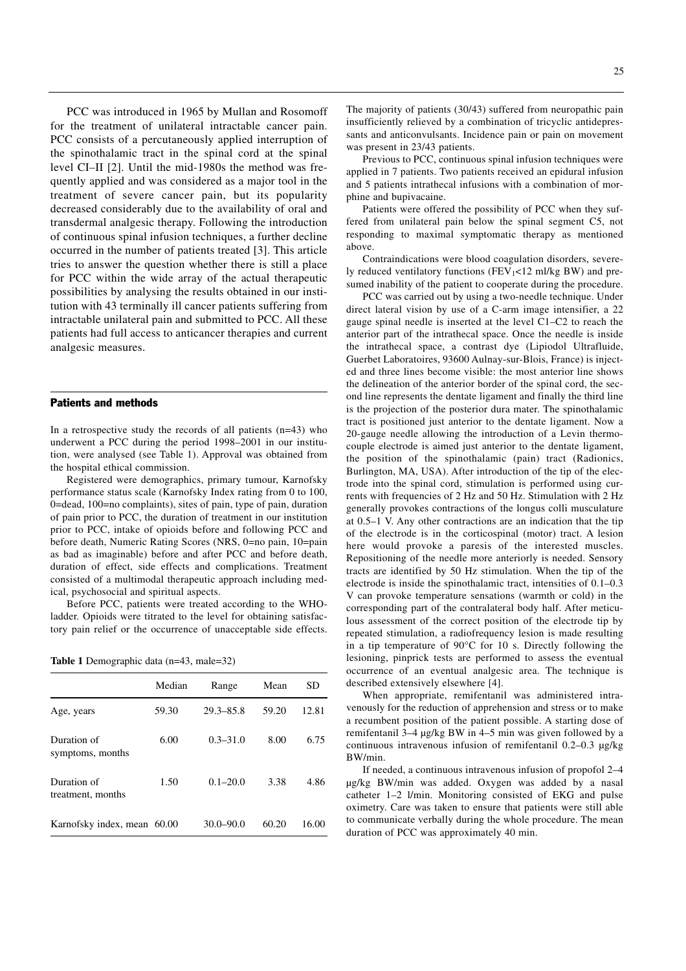PCC was introduced in 1965 by Mullan and Rosomoff for the treatment of unilateral intractable cancer pain. PCC consists of a percutaneously applied interruption of the spinothalamic tract in the spinal cord at the spinal level CI–II [2]. Until the mid-1980s the method was frequently applied and was considered as a major tool in the treatment of severe cancer pain, but its popularity decreased considerably due to the availability of oral and transdermal analgesic therapy. Following the introduction of continuous spinal infusion techniques, a further decline occurred in the number of patients treated [3]. This article tries to answer the question whether there is still a place for PCC within the wide array of the actual therapeutic possibilities by analysing the results obtained in our institution with 43 terminally ill cancer patients suffering from intractable unilateral pain and submitted to PCC. All these patients had full access to anticancer therapies and current analgesic measures.

#### Patients and methods

In a retrospective study the records of all patients  $(n=43)$  who underwent a PCC during the period 1998–2001 in our institution, were analysed (see Table 1). Approval was obtained from the hospital ethical commission.

Registered were demographics, primary tumour, Karnofsky performance status scale (Karnofsky Index rating from 0 to 100, 0=dead, 100=no complaints), sites of pain, type of pain, duration of pain prior to PCC, the duration of treatment in our institution prior to PCC, intake of opioids before and following PCC and before death, Numeric Rating Scores (NRS, 0=no pain, 10=pain as bad as imaginable) before and after PCC and before death, duration of effect, side effects and complications. Treatment consisted of a multimodal therapeutic approach including medical, psychosocial and spiritual aspects.

Before PCC, patients were treated according to the WHOladder. Opioids were titrated to the level for obtaining satisfactory pain relief or the occurrence of unacceptable side effects.

|  | Table 1 Demographic data (n=43, male=32) |  |  |
|--|------------------------------------------|--|--|
|--|------------------------------------------|--|--|

|                                  | Median | Range         | Mean  | SD    |
|----------------------------------|--------|---------------|-------|-------|
| Age, years                       | 59.30  | $29.3 - 85.8$ | 59.20 | 12.81 |
| Duration of<br>symptoms, months  | 6.00   | $0.3 - 31.0$  | 8.00  | 6.75  |
| Duration of<br>treatment, months | 1.50   | $0.1 - 20.0$  | 3.38  | 4.86  |
| Karnofsky index, mean 60.00      |        | $30.0 - 90.0$ | 60.20 | 16.00 |

The majority of patients (30/43) suffered from neuropathic pain insufficiently relieved by a combination of tricyclic antidepressants and anticonvulsants. Incidence pain or pain on movement was present in 23/43 patients.

Previous to PCC, continuous spinal infusion techniques were applied in 7 patients. Two patients received an epidural infusion and 5 patients intrathecal infusions with a combination of morphine and bupivacaine.

Patients were offered the possibility of PCC when they suffered from unilateral pain below the spinal segment C5, not responding to maximal symptomatic therapy as mentioned above.

Contraindications were blood coagulation disorders, severely reduced ventilatory functions ( $FEV<sub>1</sub><12$  ml/kg BW) and presumed inability of the patient to cooperate during the procedure.

PCC was carried out by using a two-needle technique. Under direct lateral vision by use of a C-arm image intensifier, a 22 gauge spinal needle is inserted at the level C1–C2 to reach the anterior part of the intrathecal space. Once the needle is inside the intrathecal space, a contrast dye (Lipiodol Ultrafluide, Guerbet Laboratoires, 93600 Aulnay-sur-Blois, France) is injected and three lines become visible: the most anterior line shows the delineation of the anterior border of the spinal cord, the second line represents the dentate ligament and finally the third line is the projection of the posterior dura mater. The spinothalamic tract is positioned just anterior to the dentate ligament. Now a 20-gauge needle allowing the introduction of a Levin thermocouple electrode is aimed just anterior to the dentate ligament, the position of the spinothalamic (pain) tract (Radionics, Burlington, MA, USA). After introduction of the tip of the electrode into the spinal cord, stimulation is performed using currents with frequencies of 2 Hz and 50 Hz. Stimulation with 2 Hz generally provokes contractions of the longus colli musculature at 0.5–1 V. Any other contractions are an indication that the tip of the electrode is in the corticospinal (motor) tract. A lesion here would provoke a paresis of the interested muscles. Repositioning of the needle more anteriorly is needed. Sensory tracts are identified by 50 Hz stimulation. When the tip of the electrode is inside the spinothalamic tract, intensities of 0.1–0.3 V can provoke temperature sensations (warmth or cold) in the corresponding part of the contralateral body half. After meticulous assessment of the correct position of the electrode tip by repeated stimulation, a radiofrequency lesion is made resulting in a tip temperature of 90°C for 10 s. Directly following the lesioning, pinprick tests are performed to assess the eventual occurrence of an eventual analgesic area. The technique is described extensively elsewhere [4].

When appropriate, remifentanil was administered intravenously for the reduction of apprehension and stress or to make a recumbent position of the patient possible. A starting dose of remifentanil 3–4 µg/kg BW in 4–5 min was given followed by a continuous intravenous infusion of remifentanil 0.2–0.3 µg/kg BW/min.

If needed, a continuous intravenous infusion of propofol 2–4 µg/kg BW/min was added. Oxygen was added by a nasal catheter 1–2 l/min. Monitoring consisted of EKG and pulse oximetry. Care was taken to ensure that patients were still able to communicate verbally during the whole procedure. The mean duration of PCC was approximately 40 min.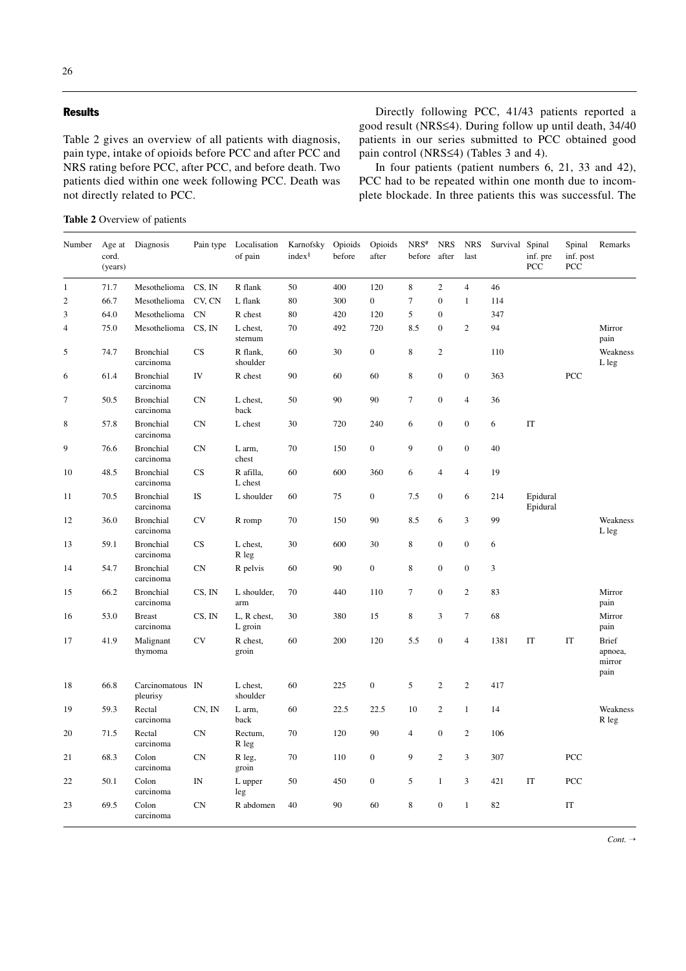## **Results**

Table 2 gives an overview of all patients with diagnosis, pain type, intake of opioids before PCC and after PCC and NRS rating before PCC, after PCC, and before death. Two patients died within one week following PCC. Death was not directly related to PCC.

Directly following PCC, 41/43 patients reported a good result (NRS≤4). During follow up until death, 34/40 patients in our series submitted to PCC obtained good pain control (NRS≤4) (Tables 3 and 4).

In four patients (patient numbers 6, 21, 33 and 42), PCC had to be repeated within one month due to incomplete blockade. In three patients this was successful. The

**Table 2** Overview of patients

| Number         | Age at<br>cord.<br>(years) | Diagnosis                     | Pain type                | Localisation<br>of pain | Karnofsky<br>index <sup>§</sup> | Opioids<br>before | Opioids<br>after | $NRS^*$<br>before | <b>NRS</b><br>after | <b>NRS</b><br>last | Survival Spinal | inf. pre<br>PCC      | Spinal<br>inf. post<br>PCC | Remarks                                   |
|----------------|----------------------------|-------------------------------|--------------------------|-------------------------|---------------------------------|-------------------|------------------|-------------------|---------------------|--------------------|-----------------|----------------------|----------------------------|-------------------------------------------|
| $\mathbf{1}$   | 71.7                       | Mesothelioma                  | CS, IN                   | R flank                 | 50                              | 400               | 120              | $\,8\,$           | $\overline{c}$      | $\overline{4}$     | 46              |                      |                            |                                           |
| $\sqrt{2}$     | 66.7                       | Mesothelioma                  | CV, CN                   | L flank                 | 80                              | 300               | $\overline{0}$   | $\overline{7}$    | $\overline{0}$      | $\mathbf{1}$       | 114             |                      |                            |                                           |
| 3              | 64.0                       | Mesothelioma                  | <b>CN</b>                | R chest                 | 80                              | 420               | 120              | 5                 | $\overline{0}$      |                    | 347             |                      |                            |                                           |
| $\overline{4}$ | 75.0                       | Mesothelioma                  | CS, IN                   | L chest,<br>sternum     | 70                              | 492               | 720              | 8.5               | $\boldsymbol{0}$    | $\mathbf{2}$       | 94              |                      |                            | Mirror<br>pain                            |
| 5              | 74.7                       | <b>Bronchial</b><br>carcinoma | CS                       | R flank,<br>shoulder    | 60                              | 30                | $\boldsymbol{0}$ | 8                 | $\overline{c}$      |                    | 110             |                      |                            | Weakness<br>L leg                         |
| 6              | 61.4                       | Bronchial<br>carcinoma        | IV                       | R chest                 | 90                              | 60                | 60               | $\,$ 8 $\,$       | $\overline{0}$      | $\boldsymbol{0}$   | 363             |                      | PCC                        |                                           |
| $\tau$         | 50.5                       | <b>Bronchial</b><br>carcinoma | <b>CN</b>                | L chest,<br>back        | 50                              | 90                | 90               | $\tau$            | $\boldsymbol{0}$    | $\overline{4}$     | 36              |                      |                            |                                           |
| 8              | 57.8                       | <b>Bronchial</b><br>carcinoma | <b>CN</b>                | L chest                 | 30                              | 720               | 240              | 6                 | $\boldsymbol{0}$    | $\boldsymbol{0}$   | 6               | IT                   |                            |                                           |
| 9              | 76.6                       | <b>Bronchial</b><br>carcinoma | <b>CN</b>                | L arm,<br>chest         | 70                              | 150               | $\mathbf{0}$     | 9                 | $\boldsymbol{0}$    | $\boldsymbol{0}$   | 40              |                      |                            |                                           |
| 10             | 48.5                       | <b>Bronchial</b><br>carcinoma | CS                       | R afilla,<br>L chest    | 60                              | 600               | 360              | 6                 | $\overline{4}$      | $\overline{4}$     | 19              |                      |                            |                                           |
| 11             | 70.5                       | <b>Bronchial</b><br>carcinoma | IS                       | L shoulder              | 60                              | 75                | $\boldsymbol{0}$ | 7.5               | $\boldsymbol{0}$    | 6                  | 214             | Epidural<br>Epidural |                            |                                           |
| 12             | 36.0                       | <b>Bronchial</b><br>carcinoma | <b>CV</b>                | R romp                  | 70                              | 150               | 90               | 8.5               | 6                   | 3                  | 99              |                      |                            | Weakness<br>L leg                         |
| 13             | 59.1                       | <b>Bronchial</b><br>carcinoma | CS                       | L chest,<br>R leg       | 30                              | 600               | 30               | $\,$ 8 $\,$       | $\boldsymbol{0}$    | $\boldsymbol{0}$   | 6               |                      |                            |                                           |
| 14             | 54.7                       | <b>Bronchial</b><br>carcinoma | <b>CN</b>                | R pelvis                | 60                              | 90                | $\boldsymbol{0}$ | $\,$ 8 $\,$       | $\boldsymbol{0}$    | $\boldsymbol{0}$   | $\mathfrak{Z}$  |                      |                            |                                           |
| 15             | 66.2                       | <b>Bronchial</b><br>carcinoma | CS, IN                   | L shoulder,<br>arm      | 70                              | 440               | 110              | $\tau$            | $\boldsymbol{0}$    | $\sqrt{2}$         | 83              |                      |                            | Mirror<br>pain                            |
| 16             | 53.0                       | <b>Breast</b><br>carcinoma    | CS, IN                   | L, R chest,<br>L groin  | 30                              | 380               | 15               | $\,$ 8 $\,$       | 3                   | $\boldsymbol{7}$   | 68              |                      |                            | Mirror<br>pain                            |
| 17             | 41.9                       | Malignant<br>thymoma          | <b>CV</b>                | R chest,<br>groin       | 60                              | 200               | 120              | 5.5               | $\boldsymbol{0}$    | $\overline{4}$     | 1381            | IT                   | IT                         | <b>Brief</b><br>apnoea,<br>mirror<br>pain |
| 18             | 66.8                       | Carcinomatous IN<br>pleurisy  |                          | L chest,<br>shoulder    | 60                              | 225               | $\boldsymbol{0}$ | 5                 | $\sqrt{2}$          | $\mathbf{2}$       | 417             |                      |                            |                                           |
| 19             | 59.3                       | Rectal<br>carcinoma           | CN, IN                   | L arm,<br>back          | 60                              | 22.5              | 22.5             | 10                | $\mathbf{2}$        | $\mathbf{1}$       | 14              |                      |                            | Weakness<br>R leg                         |
| 20             | 71.5                       | Rectal<br>carcinoma           | <b>CN</b>                | Rectum,<br>R leg        | 70                              | 120               | 90               | $\overline{4}$    | $\boldsymbol{0}$    | $\mathbf{2}$       | 106             |                      |                            |                                           |
| 21             | 68.3                       | Colon<br>carcinoma            | <b>CN</b>                | R leg,<br>groin         | 70                              | 110               | $\boldsymbol{0}$ | 9                 | $\overline{c}$      | 3                  | 307             |                      | PCC                        |                                           |
| 22             | 50.1                       | Colon<br>carcinoma            | $\ensuremath{\text{IN}}$ | L upper<br>leg          | 50                              | 450               | $\boldsymbol{0}$ | 5                 | $\mathbf{1}$        | 3                  | 421             | IT                   | PCC                        |                                           |
| 23             | 69.5                       | Colon<br>carcinoma            | <b>CN</b>                | R abdomen               | 40                              | 90                | 60               | 8                 | $\boldsymbol{0}$    | $\mathbf{1}$       | 82              |                      | IT                         |                                           |

*Cont.* →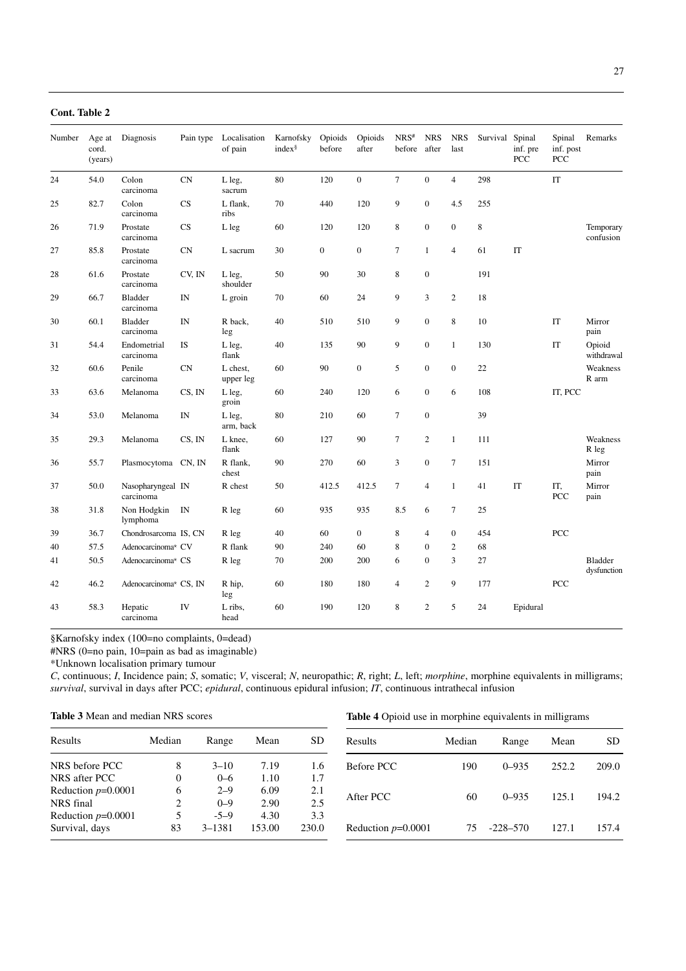| Cont. Table 2 |                            |                                |                          |                         |                                 |                   |                  |                   |                     |                    |          |                           |                            |                               |
|---------------|----------------------------|--------------------------------|--------------------------|-------------------------|---------------------------------|-------------------|------------------|-------------------|---------------------|--------------------|----------|---------------------------|----------------------------|-------------------------------|
| Number        | Age at<br>cord.<br>(years) | Diagnosis                      | Pain type                | Localisation<br>of pain | Karnofsky<br>index <sup>§</sup> | Opioids<br>before | Opioids<br>after | $NRS^*$<br>before | <b>NRS</b><br>after | <b>NRS</b><br>last | Survival | Spinal<br>inf. pre<br>PCC | Spinal<br>inf. post<br>PCC | Remarks                       |
| 24            | 54.0                       | Colon<br>carcinoma             | <b>CN</b>                | L leg,<br>sacrum        | 80                              | 120               | $\mathbf{0}$     | $\tau$            | $\boldsymbol{0}$    | $\overline{4}$     | 298      |                           | IT                         |                               |
| 25            | 82.7                       | Colon<br>carcinoma             | CS                       | L flank,<br>ribs        | 70                              | 440               | 120              | 9                 | $\boldsymbol{0}$    | 4.5                | 255      |                           |                            |                               |
| 26            | 71.9                       | Prostate<br>carcinoma          | CS                       | L leg                   | 60                              | 120               | 120              | 8                 | $\boldsymbol{0}$    | $\boldsymbol{0}$   | 8        |                           |                            | Temporary<br>confusion        |
| 27            | 85.8                       | Prostate<br>carcinoma          | <b>CN</b>                | L sacrum                | 30                              | $\boldsymbol{0}$  | $\boldsymbol{0}$ | $\tau$            | $\mathbf{1}$        | $\overline{4}$     | 61       | IT                        |                            |                               |
| 28            | 61.6                       | Prostate<br>carcinoma          | CV, IN                   | L leg,<br>shoulder      | 50                              | 90                | 30               | 8                 | $\boldsymbol{0}$    |                    | 191      |                           |                            |                               |
| 29            | 66.7                       | Bladder<br>carcinoma           | $\ensuremath{\text{IN}}$ | L groin                 | 70                              | 60                | 24               | 9                 | $\overline{3}$      | $\mathbf{2}$       | 18       |                           |                            |                               |
| 30            | 60.1                       | <b>Bladder</b><br>carcinoma    | $\text{IN}{}$            | R back,<br>leg          | 40                              | 510               | 510              | 9                 | $\boldsymbol{0}$    | $\,$ 8 $\,$        | 10       |                           | IT                         | Mirror<br>pain                |
| 31            | 54.4                       | Endometrial<br>carcinoma       | IS                       | L leg,<br>flank         | 40                              | 135               | 90               | 9                 | $\boldsymbol{0}$    | $\mathbf{1}$       | 130      |                           | IT                         | Opioid<br>withdrawal          |
| 32            | 60.6                       | Penile<br>carcinoma            | CN                       | L chest,<br>upper leg   | 60                              | 90                | $\boldsymbol{0}$ | 5                 | $\boldsymbol{0}$    | $\boldsymbol{0}$   | 22       |                           |                            | Weakness<br>R arm             |
| 33            | 63.6                       | Melanoma                       | CS, IN                   | L leg,<br>groin         | 60                              | 240               | 120              | 6                 | $\boldsymbol{0}$    | 6                  | 108      |                           | IT, PCC                    |                               |
| 34            | 53.0                       | Melanoma                       | IN                       | L leg,<br>arm, back     | 80                              | 210               | 60               | $\tau$            | $\boldsymbol{0}$    |                    | 39       |                           |                            |                               |
| 35            | 29.3                       | Melanoma                       | CS, IN                   | L knee,<br>flank        | 60                              | 127               | 90               | 7                 | $\boldsymbol{2}$    | $\mathbf{1}$       | 111      |                           |                            | Weakness<br>R leg             |
| 36            | 55.7                       | Plasmocytoma CN, IN            |                          | R flank,<br>chest       | 90                              | 270               | 60               | 3                 | $\boldsymbol{0}$    | $\tau$             | 151      |                           |                            | Mirror<br>pain                |
| 37            | 50.0                       | Nasopharyngeal IN<br>carcinoma |                          | R chest                 | 50                              | 412.5             | 412.5            | $\tau$            | $\overline{4}$      | $\mathbf{1}$       | 41       | IT                        | IT,<br>PCC                 | Mirror<br>pain                |
| 38            | 31.8                       | Non Hodgkin<br>lymphoma        | IN                       | R leg                   | 60                              | 935               | 935              | 8.5               | 6                   | $\tau$             | 25       |                           |                            |                               |
| 39            | 36.7                       | Chondrosarcoma IS, CN          |                          | R leg                   | 40                              | 60                | $\mathbf{0}$     | 8                 | $\overline{4}$      | $\boldsymbol{0}$   | 454      |                           | PCC                        |                               |
| 40            | 57.5                       | Adenocarcinoma* CV             |                          | R flank                 | 90                              | 240               | 60               | 8                 | $\overline{0}$      | $\sqrt{2}$         | 68       |                           |                            |                               |
| 41            | 50.5                       | Adenocarcinoma* CS             |                          | R leg                   | 70                              | 200               | 200              | 6                 | $\boldsymbol{0}$    | 3                  | 27       |                           |                            | <b>Bladder</b><br>dysfunction |
| 42            | 46.2                       | Adenocarcinoma* CS, IN         |                          | R hip,<br>leg           | 60                              | 180               | 180              | $\overline{4}$    | $\mathbf{2}$        | 9                  | 177      |                           | PCC                        |                               |
| 43            | 58.3                       | Hepatic<br>carcinoma           | IV                       | L ribs,<br>head         | 60                              | 190               | 120              | 8                 | $\overline{c}$      | 5                  | 24       | Epidural                  |                            |                               |

§Karnofsky index (100=no complaints, 0=dead)

#NRS (0=no pain, 10=pain as bad as imaginable)

\*Unknown localisation primary tumour

*C*, continuous; *I*, Incidence pain; *S*, somatic; *V*, visceral; *N*, neuropathic; *R*, right; *L*, left; *morphine*, morphine equivalents in milligrams; *survival*, survival in days after PCC; *epidural*, continuous epidural infusion; *IT*, continuous intrathecal infusion

| <b>Table 3</b> Mean and median NRS scores |
|-------------------------------------------|
|-------------------------------------------|

**Table 4** Opioid use in morphine equivalents in milligrams

| Results              | Median       | Range      | Mean   | <b>SD</b> | Results              | Median | Range        | Mean  | SD.   |
|----------------------|--------------|------------|--------|-----------|----------------------|--------|--------------|-------|-------|
| NRS before PCC       | 8            | $3 - 10$   | 7.19   | 1.6       | Before PCC           | 190    | $0 - 935$    | 252.2 | 209.0 |
| NRS after PCC        | $\mathbf{0}$ | $0 - 6$    | 1.10   | 1.7       |                      |        |              |       |       |
| Reduction $p=0.0001$ | 6            | $2 - 9$    | 6.09   | 2.1       |                      |        |              |       |       |
| NRS final            | ↑            | $0 - 9$    | 2.90   | 2.5       | After PCC            | 60     | $0 - 935$    | 125.1 | 194.2 |
| Reduction $p=0.0001$ | 5            | $-5-9$     | 4.30   | 3.3       |                      |        |              |       |       |
| Survival, days       | 83           | $3 - 1381$ | 153.00 | 230.0     | Reduction $p=0.0001$ | 75     | $-228 - 570$ | 127.1 | 157.4 |
|                      |              |            |        |           |                      |        |              |       |       |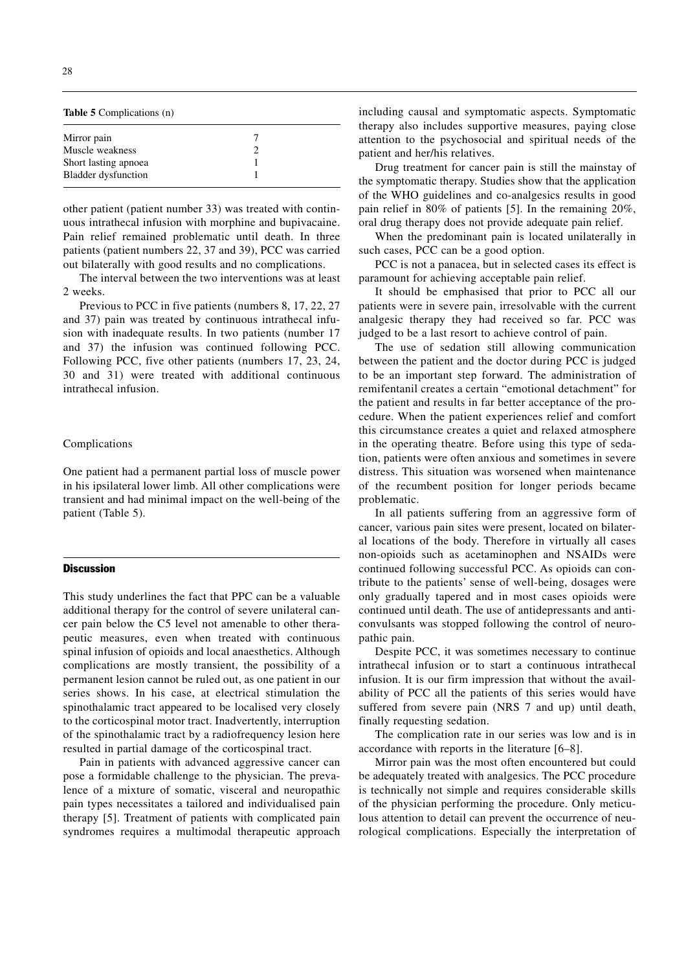| <b>Table 5</b> Complications (n) |  |  |  |  |  |  |  |  |
|----------------------------------|--|--|--|--|--|--|--|--|
|                                  |  |  |  |  |  |  |  |  |
|                                  |  |  |  |  |  |  |  |  |
|                                  |  |  |  |  |  |  |  |  |
|                                  |  |  |  |  |  |  |  |  |
|                                  |  |  |  |  |  |  |  |  |

other patient (patient number 33) was treated with continuous intrathecal infusion with morphine and bupivacaine. Pain relief remained problematic until death. In three patients (patient numbers 22, 37 and 39), PCC was carried out bilaterally with good results and no complications.

The interval between the two interventions was at least 2 weeks.

Previous to PCC in five patients (numbers 8, 17, 22, 27 and 37) pain was treated by continuous intrathecal infusion with inadequate results. In two patients (number 17 and 37) the infusion was continued following PCC. Following PCC, five other patients (numbers 17, 23, 24, 30 and 31) were treated with additional continuous intrathecal infusion.

### Complications

One patient had a permanent partial loss of muscle power in his ipsilateral lower limb. All other complications were transient and had minimal impact on the well-being of the patient (Table 5).

#### **Discussion**

This study underlines the fact that PPC can be a valuable additional therapy for the control of severe unilateral cancer pain below the C5 level not amenable to other therapeutic measures, even when treated with continuous spinal infusion of opioids and local anaesthetics. Although complications are mostly transient, the possibility of a permanent lesion cannot be ruled out, as one patient in our series shows. In his case, at electrical stimulation the spinothalamic tract appeared to be localised very closely to the corticospinal motor tract. Inadvertently, interruption of the spinothalamic tract by a radiofrequency lesion here resulted in partial damage of the corticospinal tract.

Pain in patients with advanced aggressive cancer can pose a formidable challenge to the physician. The prevalence of a mixture of somatic, visceral and neuropathic pain types necessitates a tailored and individualised pain therapy [5]. Treatment of patients with complicated pain syndromes requires a multimodal therapeutic approach including causal and symptomatic aspects. Symptomatic therapy also includes supportive measures, paying close attention to the psychosocial and spiritual needs of the patient and her/his relatives.

Drug treatment for cancer pain is still the mainstay of the symptomatic therapy. Studies show that the application of the WHO guidelines and co-analgesics results in good pain relief in 80% of patients [5]. In the remaining 20%, oral drug therapy does not provide adequate pain relief.

When the predominant pain is located unilaterally in such cases, PCC can be a good option.

PCC is not a panacea, but in selected cases its effect is paramount for achieving acceptable pain relief.

It should be emphasised that prior to PCC all our patients were in severe pain, irresolvable with the current analgesic therapy they had received so far. PCC was judged to be a last resort to achieve control of pain.

The use of sedation still allowing communication between the patient and the doctor during PCC is judged to be an important step forward. The administration of remifentanil creates a certain "emotional detachment" for the patient and results in far better acceptance of the procedure. When the patient experiences relief and comfort this circumstance creates a quiet and relaxed atmosphere in the operating theatre. Before using this type of sedation, patients were often anxious and sometimes in severe distress. This situation was worsened when maintenance of the recumbent position for longer periods became problematic.

In all patients suffering from an aggressive form of cancer, various pain sites were present, located on bilateral locations of the body. Therefore in virtually all cases non-opioids such as acetaminophen and NSAIDs were continued following successful PCC. As opioids can contribute to the patients' sense of well-being, dosages were only gradually tapered and in most cases opioids were continued until death. The use of antidepressants and anticonvulsants was stopped following the control of neuropathic pain.

Despite PCC, it was sometimes necessary to continue intrathecal infusion or to start a continuous intrathecal infusion. It is our firm impression that without the availability of PCC all the patients of this series would have suffered from severe pain (NRS 7 and up) until death, finally requesting sedation.

The complication rate in our series was low and is in accordance with reports in the literature [6–8].

Mirror pain was the most often encountered but could be adequately treated with analgesics. The PCC procedure is technically not simple and requires considerable skills of the physician performing the procedure. Only meticulous attention to detail can prevent the occurrence of neurological complications. Especially the interpretation of